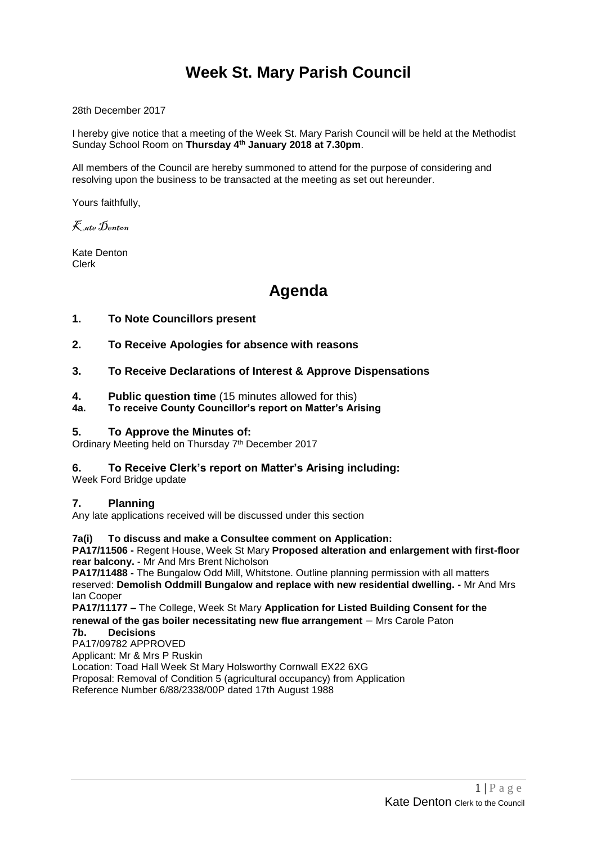# **Week St. Mary Parish Council**

28th December 2017

I hereby give notice that a meeting of the Week St. Mary Parish Council will be held at the Methodist Sunday School Room on **Thursday 4 th January 2018 at 7.30pm**.

All members of the Council are hereby summoned to attend for the purpose of considering and resolving upon the business to be transacted at the meeting as set out hereunder.

Yours faithfully,

Kate Denton

Kate Denton Clerk

# **Agenda**

- **1. To Note Councillors present**
- **2. To Receive Apologies for absence with reasons**
- **3. To Receive Declarations of Interest & Approve Dispensations**
- **4. Public question time** (15 minutes allowed for this)
- **4a. To receive County Councillor's report on Matter's Arising**

# **5. To Approve the Minutes of:**

Ordinary Meeting held on Thursday 7<sup>th</sup> December 2017

# **6. To Receive Clerk's report on Matter's Arising including:**

Week Ford Bridge update

# **7. Planning**

Any late applications received will be discussed under this section

# **7a(i) To discuss and make a Consultee comment on Application:**

**PA17/11506 -** Regent House, Week St Mary **Proposed alteration and enlargement with first-floor rear balcony.** - Mr And Mrs Brent Nicholson

**PA17/11488 -** The Bungalow Odd Mill, Whitstone. Outline planning permission with all matters reserved: **Demolish Oddmill Bungalow and replace with new residential dwelling. -** Mr And Mrs Ian Cooper

**PA17/11177 –** The College, Week St Mary **Application for Listed Building Consent for the renewal of the gas boiler necessitating new flue arrangement** – Mrs Carole Paton **7b. Decisions**

PA17/09782 APPROVED Applicant: Mr & Mrs P Ruskin Location: Toad Hall Week St Mary Holsworthy Cornwall EX22 6XG Proposal: Removal of Condition 5 (agricultural occupancy) from Application Reference Number 6/88/2338/00P dated 17th August 1988